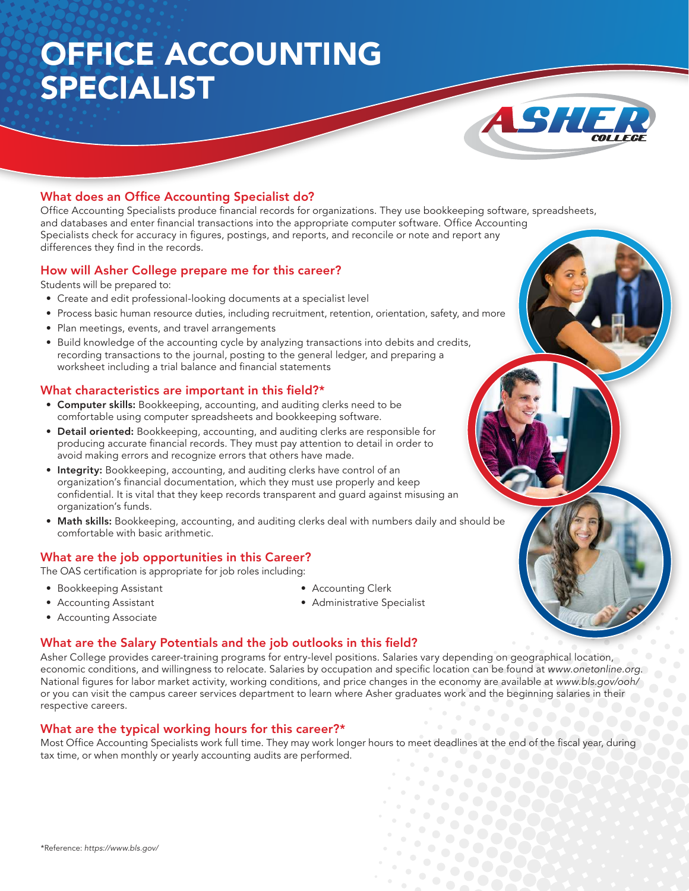# OFFICE ACCOUNTING SPECIALIST



### What does an Office Accounting Specialist do?

Office Accounting Specialists produce financial records for organizations. They use bookkeeping software, spreadsheets, and databases and enter financial transactions into the appropriate computer software. Office Accounting Specialists check for accuracy in figures, postings, and reports, and reconcile or note and report any differences they find in the records.

#### How will Asher College prepare me for this career?

Students will be prepared to:

- Create and edit professional-looking documents at a specialist level
- Process basic human resource duties, including recruitment, retention, orientation, safety, and more
- Plan meetings, events, and travel arrangements
- Build knowledge of the accounting cycle by analyzing transactions into debits and credits, recording transactions to the journal, posting to the general ledger, and preparing a worksheet including a trial balance and financial statements

#### What characteristics are important in this field?\*

- Computer skills: Bookkeeping, accounting, and auditing clerks need to be comfortable using computer spreadsheets and bookkeeping software.
- Detail oriented: Bookkeeping, accounting, and auditing clerks are responsible for producing accurate financial records. They must pay attention to detail in order to avoid making errors and recognize errors that others have made.
- Integrity: Bookkeeping, accounting, and auditing clerks have control of an organization's financial documentation, which they must use properly and keep confidential. It is vital that they keep records transparent and guard against misusing an organization's funds.
- Math skills: Bookkeeping, accounting, and auditing clerks deal with numbers daily and should be comfortable with basic arithmetic.

#### What are the job opportunities in this Career?

The OAS certification is appropriate for job roles including:

- Bookkeeping Assistant
- Accounting Assistant

• Accounting Clerk • Administrative Specialist

- Accounting Associate
- 

#### What are the Salary Potentials and the job outlooks in this field?

Asher College provides career-training programs for entry-level positions. Salaries vary depending on geographical location, economic conditions, and willingness to relocate. Salaries by occupation and specific location can be found at www.onetonline.org. National figures for labor market activity, working conditions, and price changes in the economy are available at www.bls.gov/ooh/ or you can visit the campus career services department to learn where Asher graduates work and the beginning salaries in their respective careers.

#### What are the typical working hours for this career?\*

Most Office Accounting Specialists work full time. They may work longer hours to meet deadlines at the end of the fiscal year, during tax time, or when monthly or yearly accounting audits are performed.